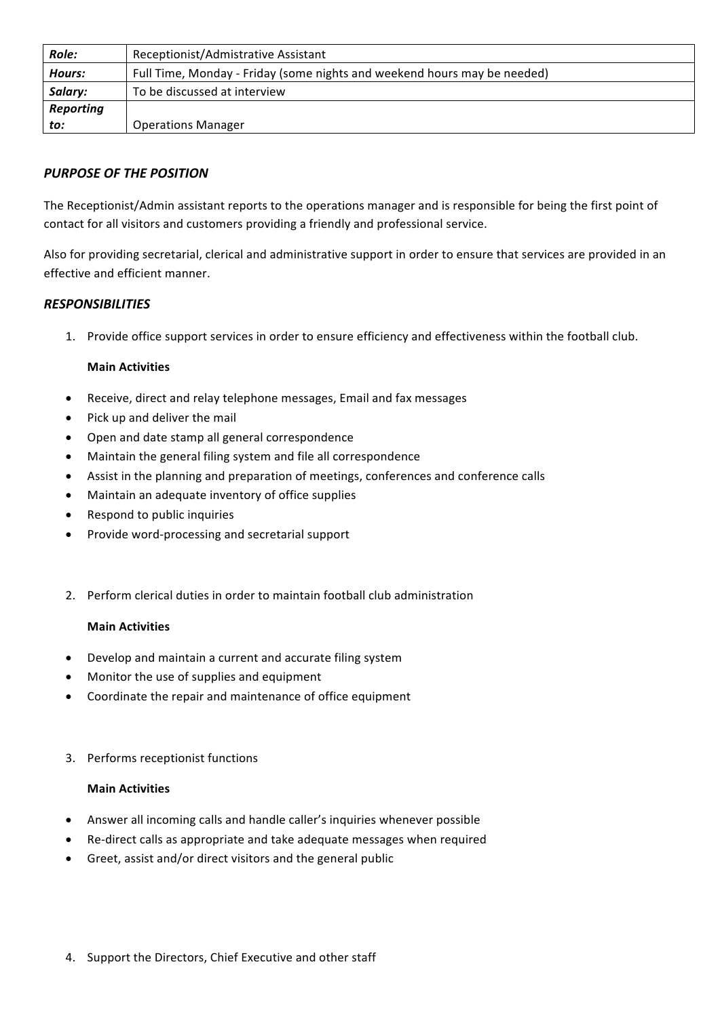| Role:            | Receptionist/Admistrative Assistant                                      |
|------------------|--------------------------------------------------------------------------|
| Hours:           | Full Time, Monday - Friday (some nights and weekend hours may be needed) |
| Salary:          | To be discussed at interview                                             |
| <b>Reporting</b> |                                                                          |
| to:              | <b>Operations Manager</b>                                                |

# **PURPOSE OF THE POSITION**

The Receptionist/Admin assistant reports to the operations manager and is responsible for being the first point of contact for all visitors and customers providing a friendly and professional service.

Also for providing secretarial, clerical and administrative support in order to ensure that services are provided in an effective and efficient manner.

# *RESPONSIBILITIES*

1. Provide office support services in order to ensure efficiency and effectiveness within the football club.

#### **Main Activities**

- Receive, direct and relay telephone messages, Email and fax messages
- Pick up and deliver the mail
- Open and date stamp all general correspondence
- Maintain the general filing system and file all correspondence
- Assist in the planning and preparation of meetings, conferences and conference calls
- Maintain an adequate inventory of office supplies
- Respond to public inquiries
- Provide word-processing and secretarial support
- 2. Perform clerical duties in order to maintain football club administration

#### **Main Activities**

- Develop and maintain a current and accurate filing system
- Monitor the use of supplies and equipment
- Coordinate the repair and maintenance of office equipment
- 3. Performs receptionist functions

#### **Main Activities**

- Answer all incoming calls and handle caller's inquiries whenever possible
- Re-direct calls as appropriate and take adequate messages when required
- Greet, assist and/or direct visitors and the general public